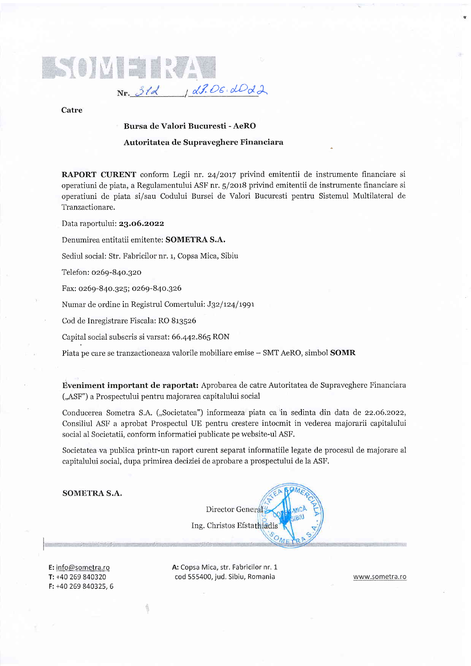

Catre

## Bursa de Valori Bucuresti - AeRO

## Autoritatea de Supraveghere Financiara

RAPORT CURENT conform Legii nr. 24/2017 privind emitentii de instrumente financiare si operatiuni de piata, a Regulamentului ASF nr. 5/2018 privind emitentii de instrumente financiare si operatiuni de piata si/sau Codului Bursei de Valori Bucuresti pentru Sistemul Multilateral de Tranzactionare.

Data raportului: 23.06.2022

Denumirea entitatii emitente: SOMETRA S.A.

Sediul social: Str. Fabricilor nr. 1, Copsa Mica, Sibiu

Telefon: oz69-84o.3zo

Fax: 0269-840.325; 0269-840.326

Numar de ordine in Registrul Comertului: J32/124/1991

Cod de Inregistrare Fiscala: RO 813526

Capital social subscris si varsat: 66.442.865 RON

Piata pe care se tranzactioneaza valorile mobiliare emise - SMT AeRO, simbol **SOMR** 

Eveniment important de raportat: Aprobarea de catre Autoritatea de Supraveghere Financiara ("ASF") a Prospectului pentru majorarea capitalului social

Conducerea Sometra S.A. ("Societatea") informeaza piata ca in sedinta din data de 22.06.2022, Consiliul ASF a aprobat Prospectul UE pentru crestere intocmit in vederea majorarii capitalului social al Societatii, conform informatiei publicate pe website-ul ASF.

Societatea va publica printr-un raport curent separat informatiile legate de procesul de majorare al capitalului social, dupa primirea deciziei de aprobare a prospectului de la ASF.

SOMETRA S.A.

Director General Ing. Christos Efsta

E: info@sometra.ro Ti +40 269 840320 F: +40 269 840325, 6

[::

A: Copsa Mica, str, Fabricilor nr, 1 cod 555400, jud. Sibiu, Romania www.sometra,ro